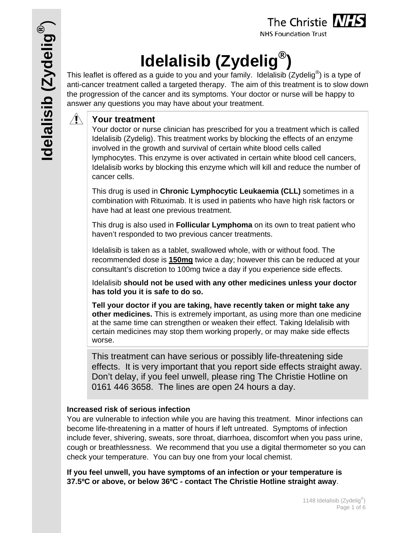**NHS Foundation Trust** 

# **Idelalisib (Zydelig®)**

This leaflet is offered as a guide to you and your family. Idelalisib (Zydelig<sup>®</sup>) is a type of anti-cancer treatment called a targeted therapy. The aim of this treatment is to slow down the progression of the cancer and its symptoms. Your doctor or nurse will be happy to answer any questions you may have about your treatment.

#### $\mathcal{A}$ **Your treatment**

Your doctor or nurse clinician has prescribed for you a treatment which is called Idelalisib (Zydelig). This treatment works by blocking the effects of an enzyme involved in the growth and survival of certain white blood cells called lymphocytes. This enzyme is over activated in certain white blood cell cancers, Idelalisib works by blocking this enzyme which will kill and reduce the number of cancer cells.

This drug is used in **Chronic Lymphocytic Leukaemia (CLL)** sometimes in a combination with Rituximab. It is used in patients who have high risk factors or have had at least one previous treatment.

This drug is also used in **Follicular Lymphoma** on its own to treat patient who haven't responded to two previous cancer treatments.

Idelalisib is taken as a tablet, swallowed whole, with or without food. The recommended dose is **150mg** twice a day; however this can be reduced at your consultant's discretion to 100mg twice a day if you experience side effects.

Idelalisib **should not be used with any other medicines unless your doctor has told you it is safe to do so.** 

**Tell your doctor if you are taking, have recently taken or might take any other medicines.** This is extremely important, as using more than one medicine at the same time can strengthen or weaken their effect. Taking Idelalisib with certain medicines may stop them working properly, or may make side effects worse.

This treatment can have serious or possibly life-threatening side effects. It is very important that you report side effects straight away. Don't delay, if you feel unwell, please ring The Christie Hotline on 0161 446 3658. The lines are open 24 hours a day.

### **Increased risk of serious infection**

You are vulnerable to infection while you are having this treatment. Minor infections can become life-threatening in a matter of hours if left untreated. Symptoms of infection include fever, shivering, sweats, sore throat, diarrhoea, discomfort when you pass urine, cough or breathlessness. We recommend that you use a digital thermometer so you can check your temperature. You can buy one from your local chemist.

**If you feel unwell, you have symptoms of an infection or your temperature is 37.5ºC or above, or below 36ºC - contact The Christie Hotline straight away**.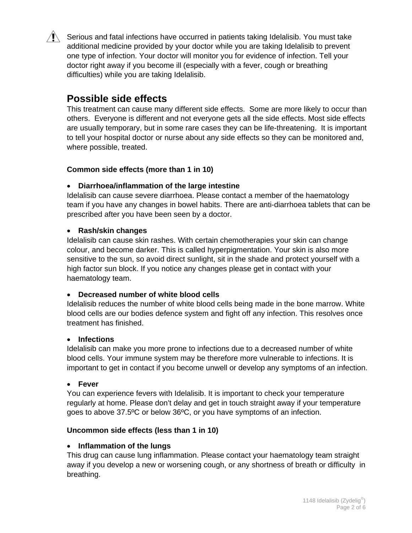Serious and fatal infections have occurred in patients taking Idelalisib. You must take additional medicine provided by your doctor while you are taking Idelalisib to prevent one type of infection. Your doctor will monitor you for evidence of infection. Tell your doctor right away if you become ill (especially with a fever, cough or breathing difficulties) while you are taking Idelalisib.

## **Possible side effects**

This treatment can cause many different side effects. Some are more likely to occur than others. Everyone is different and not everyone gets all the side effects. Most side effects are usually temporary, but in some rare cases they can be life-threatening. It is important to tell your hospital doctor or nurse about any side effects so they can be monitored and, where possible, treated.

#### **Common side effects (more than 1 in 10)**

#### **Diarrhoea/inflammation of the large intestine**

Idelalisib can cause severe diarrhoea. Please contact a member of the haematology team if you have any changes in bowel habits. There are anti-diarrhoea tablets that can be prescribed after you have been seen by a doctor.

#### **Rash/skin changes**

Idelalisib can cause skin rashes. With certain chemotherapies your skin can change colour, and become darker. This is called hyperpigmentation. Your skin is also more sensitive to the sun, so avoid direct sunlight, sit in the shade and protect yourself with a high factor sun block. If you notice any changes please get in contact with your haematology team.

#### **Decreased number of white blood cells**

Idelalisib reduces the number of white blood cells being made in the bone marrow. White blood cells are our bodies defence system and fight off any infection. This resolves once treatment has finished.

#### **Infections**

Idelalisib can make you more prone to infections due to a decreased number of white blood cells. Your immune system may be therefore more vulnerable to infections. It is important to get in contact if you become unwell or develop any symptoms of an infection.

#### **Fever**

You can experience fevers with Idelalisib. It is important to check your temperature regularly at home. Please don't delay and get in touch straight away if your temperature goes to above 37.5ºC or below 36ºC, or you have symptoms of an infection.

#### **Uncommon side effects (less than 1 in 10)**

#### **Inflammation of the lungs**

This drug can cause lung inflammation. Please contact your haematology team straight away if you develop a new or worsening cough, or any shortness of breath or difficulty in breathing.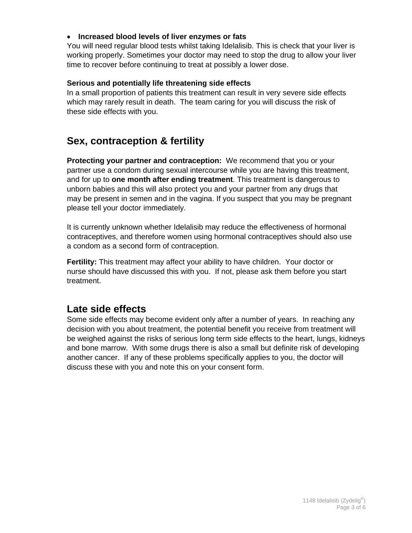#### **Increased blood levels of liver enzymes or fats**

You will need regular blood tests whilst taking Idelalisib. This is check that your liver is working properly. Sometimes your doctor may need to stop the drug to allow your liver time to recover before continuing to treat at possibly a lower dose.

#### **Serious and potentially life threatening side effects**

In a small proportion of patients this treatment can result in very severe side effects which may rarely result in death. The team caring for you will discuss the risk of these side effects with you.

## **Sex, contraception & fertility**

**Protecting your partner and contraception:** We recommend that you or your partner use a condom during sexual intercourse while you are having this treatment, and for up to **one month after ending treatment**. This treatment is dangerous to unborn babies and this will also protect you and your partner from any drugs that may be present in semen and in the vagina. If you suspect that you may be pregnant please tell your doctor immediately.

It is currently unknown whether Idelalisib may reduce the effectiveness of hormonal contraceptives, and therefore women using hormonal contraceptives should also use a condom as a second form of contraception.

**Fertility:** This treatment may affect your ability to have children. Your doctor or nurse should have discussed this with you. If not, please ask them before you start treatment.

## **Late side effects**

Some side effects may become evident only after a number of years. In reaching any decision with you about treatment, the potential benefit you receive from treatment will be weighed against the risks of serious long term side effects to the heart, lungs, kidneys and bone marrow. With some drugs there is also a small but definite risk of developing another cancer. If any of these problems specifically applies to you, the doctor will discuss these with you and note this on your consent form.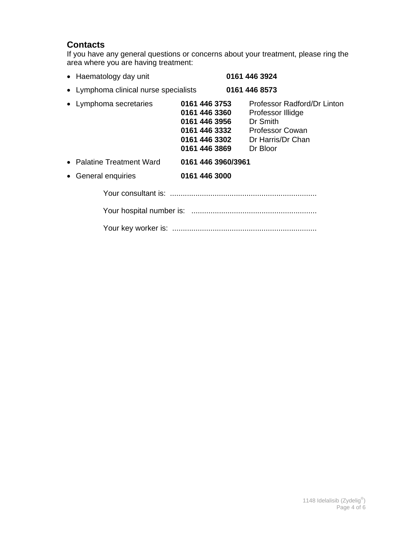#### **Contacts**

If you have any general questions or concerns about your treatment, please ring the area where you are having treatment:

|                                                                                                    | 0161 446 3924                                                                                                    |
|----------------------------------------------------------------------------------------------------|------------------------------------------------------------------------------------------------------------------|
|                                                                                                    | 0161 446 8573                                                                                                    |
| 0161 446 3753<br>0161 446 3360<br>0161 446 3956<br>0161 446 3332<br>0161 446 3302<br>0161 446 3869 | Professor Radford/Dr Linton<br>Professor Illidge<br>Dr Smith<br>Professor Cowan<br>Dr Harris/Dr Chan<br>Dr Bloor |
| 0161 446 3960/3961                                                                                 |                                                                                                                  |
| 0161 446 3000                                                                                      |                                                                                                                  |
|                                                                                                    |                                                                                                                  |
|                                                                                                    |                                                                                                                  |
|                                                                                                    |                                                                                                                  |
|                                                                                                    |                                                                                                                  |